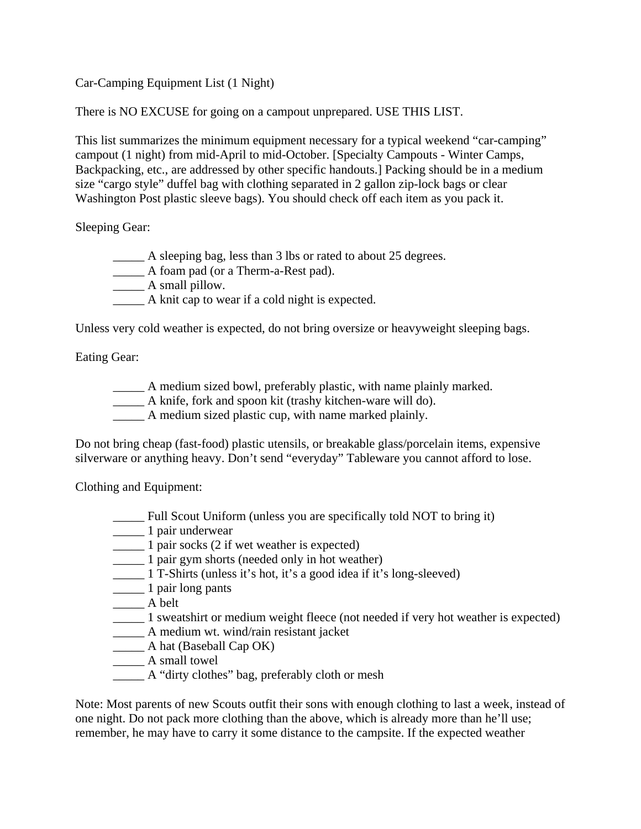Car-Camping Equipment List (1 Night)

There is NO EXCUSE for going on a campout unprepared. USE THIS LIST.

This list summarizes the minimum equipment necessary for a typical weekend "car-camping" campout (1 night) from mid-April to mid-October. [Specialty Campouts - Winter Camps, Backpacking, etc., are addressed by other specific handouts.] Packing should be in a medium size "cargo style" duffel bag with clothing separated in 2 gallon zip-lock bags or clear Washington Post plastic sleeve bags). You should check off each item as you pack it.

Sleeping Gear:

- \_\_\_\_\_ A sleeping bag, less than 3 lbs or rated to about 25 degrees.
- \_\_\_\_\_ A foam pad (or a Therm-a-Rest pad).
- \_\_\_\_\_\_ A small pillow.
- \_\_\_\_\_ A knit cap to wear if a cold night is expected.

Unless very cold weather is expected, do not bring oversize or heavyweight sleeping bags.

Eating Gear:

- A medium sized bowl, preferably plastic, with name plainly marked.
- \_\_\_\_\_ A knife, fork and spoon kit (trashy kitchen-ware will do).
- A medium sized plastic cup, with name marked plainly.

Do not bring cheap (fast-food) plastic utensils, or breakable glass/porcelain items, expensive silverware or anything heavy. Don't send "everyday" Tableware you cannot afford to lose.

Clothing and Equipment:

- \_\_\_\_\_ Full Scout Uniform (unless you are specifically told NOT to bring it)
- \_\_\_\_\_ 1 pair underwear
- \_\_\_\_\_ 1 pair socks (2 if wet weather is expected)
- \_\_\_\_\_ 1 pair gym shorts (needed only in hot weather)
- \_\_\_\_\_ 1 T-Shirts (unless it's hot, it's a good idea if it's long-sleeved)
- \_\_\_\_\_ 1 pair long pants
- \_\_\_\_\_ A belt
- \_\_\_\_\_ 1 sweatshirt or medium weight fleece (not needed if very hot weather is expected)
- \_\_\_\_\_ A medium wt. wind/rain resistant jacket
- \_\_\_\_\_ A hat (Baseball Cap OK)
- \_\_\_\_\_ A small towel
- \_\_\_\_\_ A "dirty clothes" bag, preferably cloth or mesh

Note: Most parents of new Scouts outfit their sons with enough clothing to last a week, instead of one night. Do not pack more clothing than the above, which is already more than he'll use; remember, he may have to carry it some distance to the campsite. If the expected weather